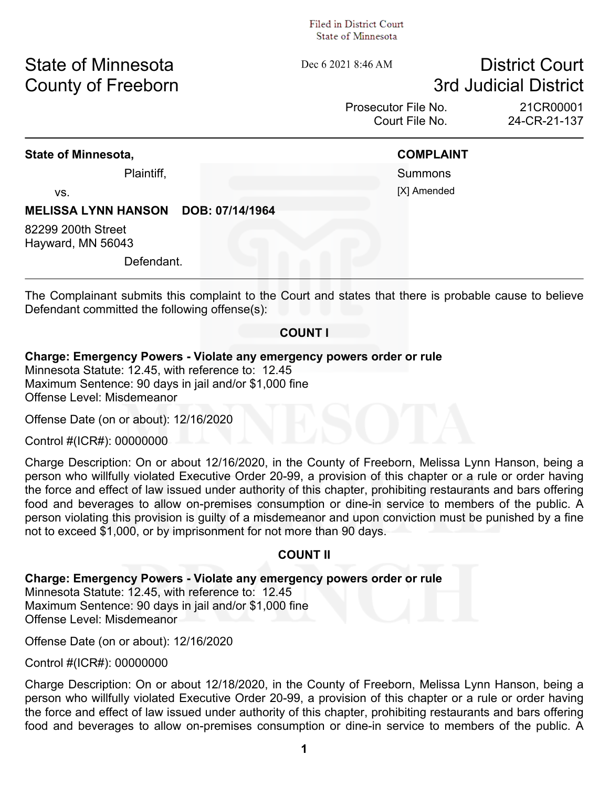#### Filed in District Court. State of Minnesota

# State of Minnesota **Dec 6 2021 8:46 AM** District Court **County of Freeborn 3rd Judicial District**

Prosecutor File No. 21CR00001 Court File No. 24-CR-21-137

### **State of Minnesota, COMPLAINT**

Plaintiff, Summons vs. [X] Amended

#### **MELISSA LYNN HANSON DOB: 07/14/1964**

82299 200th Street Hayward, MN 56043

Defendant.

The Complainant submits this complaint to the Court and states that there is probable cause to believe Defendant committed the following offense(s):

#### **COUNT I**

#### **Charge: Emergency Powers - Violate any emergency powers order or rule**

Minnesota Statute: 12.45, with reference to: 12.45 Maximum Sentence: 90 days in jail and/or \$1,000 fine Offense Level: Misdemeanor

Offense Date (on or about): 12/16/2020

Control #(ICR#): 00000000

Charge Description: On or about 12/16/2020, in the County of Freeborn, Melissa Lynn Hanson, being a person who willfully violated Executive Order 20-99, a provision of this chapter or a rule or order having the force and effect of law issued under authority of this chapter, prohibiting restaurants and bars offering food and beverages to allow on-premises consumption or dine-in service to members of the public. A person violating this provision is guilty of a misdemeanor and upon conviction must be punished by a fine not to exceed \$1,000, or by imprisonment for not more than 90 days.

#### **COUNT II**

#### **Charge: Emergency Powers - Violate any emergency powers order or rule**

Minnesota Statute: 12.45, with reference to: 12.45 Maximum Sentence: 90 days in jail and/or \$1,000 fine Offense Level: Misdemeanor

Offense Date (on or about): 12/16/2020

Control #(ICR#): 00000000

Charge Description: On or about 12/18/2020, in the County of Freeborn, Melissa Lynn Hanson, being a person who willfully violated Executive Order 20-99, a provision of this chapter or a rule or order having the force and effect of law issued under authority of this chapter, prohibiting restaurants and bars offering food and beverages to allow on-premises consumption or dine-in service to members of the public. A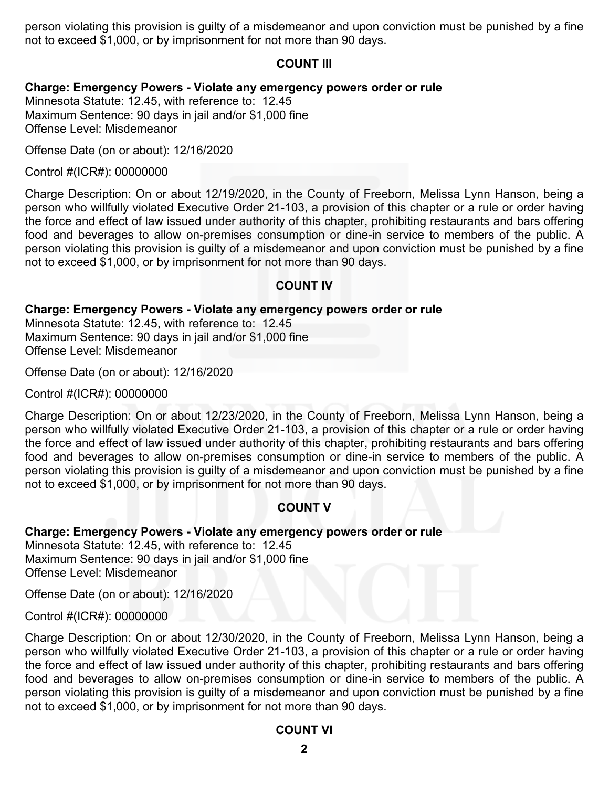person violating this provision is guilty of a misdemeanor and upon conviction must be punished by a fine not to exceed \$1,000, or by imprisonment for not more than 90 days.

#### **COUNT III**

#### **Charge: Emergency Powers - Violate any emergency powers order or rule**

Minnesota Statute: 12.45, with reference to: 12.45 Maximum Sentence: 90 days in jail and/or \$1,000 fine Offense Level: Misdemeanor

Offense Date (on or about): 12/16/2020

Control #(ICR#): 00000000

Charge Description: On or about 12/19/2020, in the County of Freeborn, Melissa Lynn Hanson, being a person who willfully violated Executive Order 21-103, a provision of this chapter or a rule or order having the force and effect of law issued under authority of this chapter, prohibiting restaurants and bars offering food and beverages to allow on-premises consumption or dine-in service to members of the public. A person violating this provision is guilty of a misdemeanor and upon conviction must be punished by a fine not to exceed \$1,000, or by imprisonment for not more than 90 days.

### **COUNT IV**

#### **Charge: Emergency Powers - Violate any emergency powers order or rule**

Minnesota Statute: 12.45, with reference to: 12.45 Maximum Sentence: 90 days in jail and/or \$1,000 fine Offense Level: Misdemeanor

Offense Date (on or about): 12/16/2020

Control #(ICR#): 00000000

Charge Description: On or about 12/23/2020, in the County of Freeborn, Melissa Lynn Hanson, being a person who willfully violated Executive Order 21-103, a provision of this chapter or a rule or order having the force and effect of law issued under authority of this chapter, prohibiting restaurants and bars offering food and beverages to allow on-premises consumption or dine-in service to members of the public. A person violating this provision is guilty of a misdemeanor and upon conviction must be punished by a fine not to exceed \$1,000, or by imprisonment for not more than 90 days.

#### **COUNT V**

#### **Charge: Emergency Powers - Violate any emergency powers order or rule**

Minnesota Statute: 12.45, with reference to: 12.45 Maximum Sentence: 90 days in jail and/or \$1,000 fine Offense Level: Misdemeanor

Offense Date (on or about): 12/16/2020

Control #(ICR#): 00000000

Charge Description: On or about 12/30/2020, in the County of Freeborn, Melissa Lynn Hanson, being a person who willfully violated Executive Order 21-103, a provision of this chapter or a rule or order having the force and effect of law issued under authority of this chapter, prohibiting restaurants and bars offering food and beverages to allow on-premises consumption or dine-in service to members of the public. A person violating this provision is guilty of a misdemeanor and upon conviction must be punished by a fine not to exceed \$1,000, or by imprisonment for not more than 90 days.

#### **COUNT VI**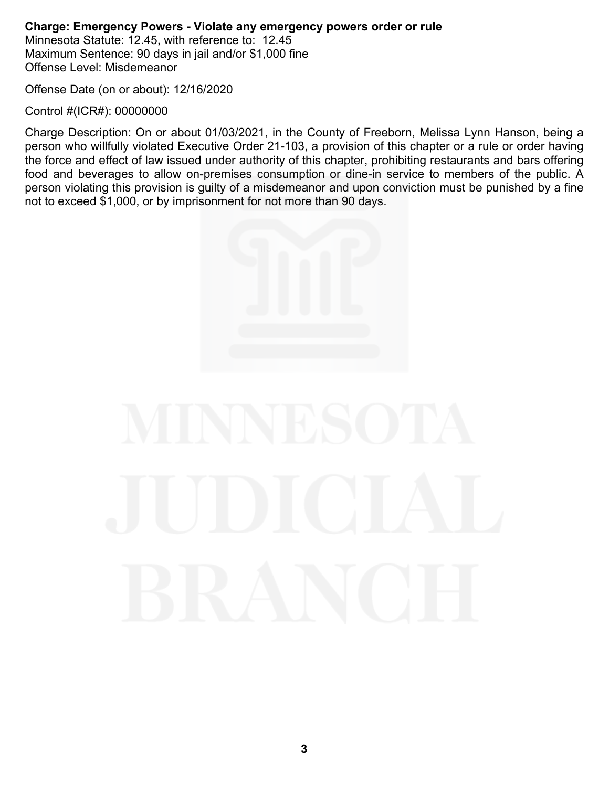# **Charge: Emergency Powers - Violate any emergency powers order or rule**

Minnesota Statute: 12.45, with reference to: 12.45 Maximum Sentence: 90 days in jail and/or \$1,000 fine Offense Level: Misdemeanor

Offense Date (on or about): 12/16/2020

Control #(ICR#): 00000000

Charge Description: On or about 01/03/2021, in the County of Freeborn, Melissa Lynn Hanson, being a person who willfully violated Executive Order 21-103, a provision of this chapter or a rule or order having the force and effect of law issued under authority of this chapter, prohibiting restaurants and bars offering food and beverages to allow on-premises consumption or dine-in service to members of the public. A person violating this provision is guilty of a misdemeanor and upon conviction must be punished by a fine not to exceed \$1,000, or by imprisonment for not more than 90 days.

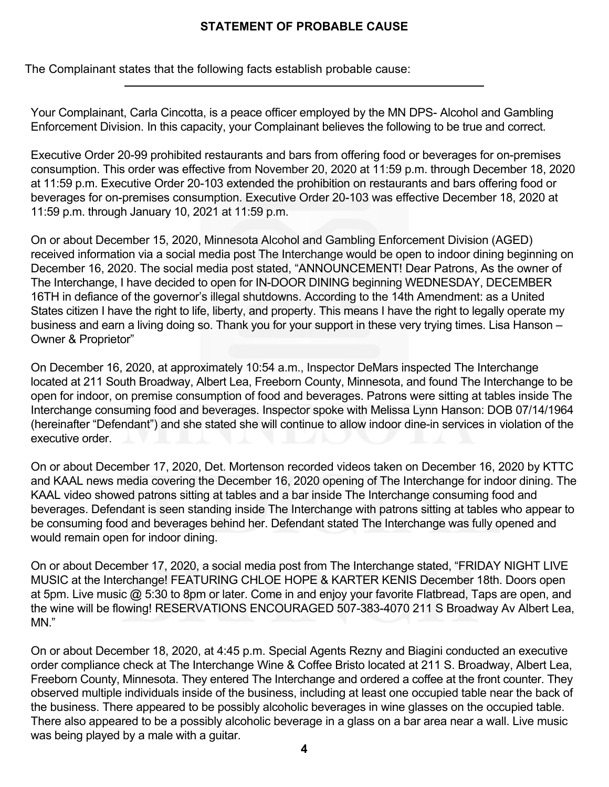## **STATEMENT OF PROBABLE CAUSE**

The Complainant states that the following facts establish probable cause:

Your Complainant, Carla Cincotta, is a peace officer employed by the MN DPS- Alcohol and Gambling Enforcement Division. In this capacity, your Complainant believes the following to be true and correct.

Executive Order 20-99 prohibited restaurants and bars from offering food or beverages for on-premises consumption. This order was effective from November 20, 2020 at 11:59 p.m. through December 18, 2020 at 11:59 p.m. Executive Order 20-103 extended the prohibition on restaurants and bars offering food or beverages for on-premises consumption. Executive Order 20-103 was effective December 18, 2020 at 11:59 p.m. through January 10, 2021 at 11:59 p.m.

On or about December 15, 2020, Minnesota Alcohol and Gambling Enforcement Division (AGED) received information via a social media post The Interchange would be open to indoor dining beginning on December 16, 2020. The social media post stated, "ANNOUNCEMENT! Dear Patrons, As the owner of The Interchange, I have decided to open for IN-DOOR DINING beginning WEDNESDAY, DECEMBER 16TH in defiance of the governor's illegal shutdowns. According to the 14th Amendment: as a United States citizen I have the right to life, liberty, and property. This means I have the right to legally operate my business and earn a living doing so. Thank you for your support in these very trying times. Lisa Hanson – Owner & Proprietor"

On December 16, 2020, at approximately 10:54 a.m., Inspector DeMars inspected The Interchange located at 211 South Broadway, Albert Lea, Freeborn County, Minnesota, and found The Interchange to be open for indoor, on premise consumption of food and beverages. Patrons were sitting at tables inside The Interchange consuming food and beverages. Inspector spoke with Melissa Lynn Hanson: DOB 07/14/1964 (hereinafter "Defendant") and she stated she will continue to allow indoor dine-in services in violation of the executive order.

On or about December 17, 2020, Det. Mortenson recorded videos taken on December 16, 2020 by KTTC and KAAL news media covering the December 16, 2020 opening of The Interchange for indoor dining. The KAAL video showed patrons sitting at tables and a bar inside The Interchange consuming food and beverages. Defendant is seen standing inside The Interchange with patrons sitting at tables who appear to be consuming food and beverages behind her. Defendant stated The Interchange was fully opened and would remain open for indoor dining.

On or about December 17, 2020, a social media post from The Interchange stated, "FRIDAY NIGHT LIVE MUSIC at the Interchange! FEATURING CHLOE HOPE & KARTER KENIS December 18th. Doors open at 5pm. Live music @ 5:30 to 8pm or later. Come in and enjoy your favorite Flatbread, Taps are open, and the wine will be flowing! RESERVATIONS ENCOURAGED 507-383-4070 211 S Broadway Av Albert Lea, MN."

On or about December 18, 2020, at 4:45 p.m. Special Agents Rezny and Biagini conducted an executive order compliance check at The Interchange Wine & Coffee Bristo located at 211 S. Broadway, Albert Lea, Freeborn County, Minnesota. They entered The Interchange and ordered a coffee at the front counter. They observed multiple individuals inside of the business, including at least one occupied table near the back of the business. There appeared to be possibly alcoholic beverages in wine glasses on the occupied table. There also appeared to be a possibly alcoholic beverage in a glass on a bar area near a wall. Live music was being played by a male with a guitar.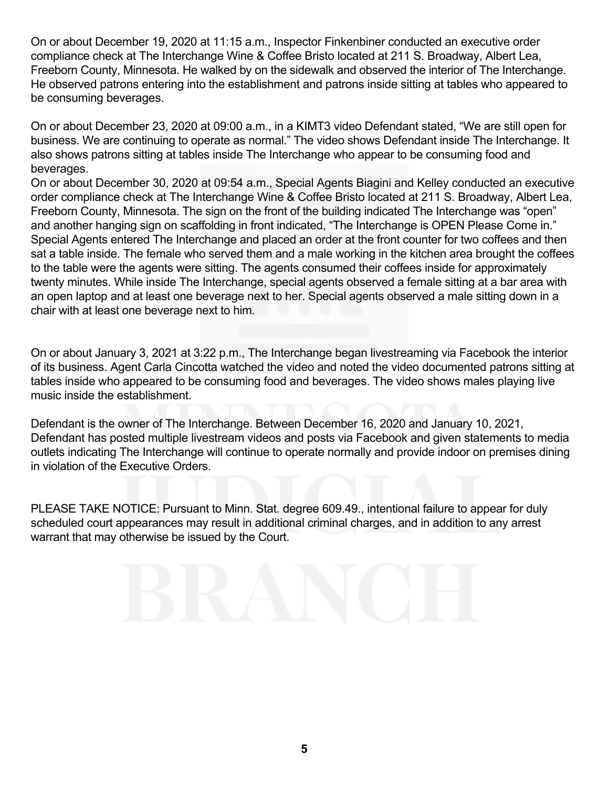On or about December 19, 2020 at 11:15 a.m., Inspector Finkenbiner conducted an executive order compliance check at The Interchange Wine & Coffee Bristo located at 211 S. Broadway, Albert Lea, Freeborn County, Minnesota. He walked by on the sidewalk and observed the interior of The Interchange. He observed patrons entering into the establishment and patrons inside sitting at tables who appeared to be consuming beverages.

On or about December 23, 2020 at 09:00 a.m., in a KIMT3 video Defendant stated, "We are still open for business. We are continuing to operate as normal." The video shows Defendant inside The Interchange. It also shows patrons sitting at tables inside The Interchange who appear to be consuming food and beverages.

On or about December 30, 2020 at 09:54 a.m., Special Agents Biagini and Kelley conducted an executive order compliance check at The Interchange Wine & Coffee Bristo located at 211 S. Broadway, Albert Lea, Freeborn County, Minnesota. The sign on the front of the building indicated The Interchange was "open" and another hanging sign on scaffolding in front indicated, "The Interchange is OPEN Please Come in." Special Agents entered The Interchange and placed an order at the front counter for two coffees and then sat a table inside. The female who served them and a male working in the kitchen area brought the coffees to the table were the agents were sitting. The agents consumed their coffees inside for approximately twenty minutes. While inside The Interchange, special agents observed a female sitting at a bar area with an open laptop and at least one beverage next to her. Special agents observed a male sitting down in a chair with at least one beverage next to him.

On or about January 3, 2021 at 3:22 p.m., The Interchange began livestreaming via Facebook the interior of its business. Agent Carla Cincotta watched the video and noted the video documented patrons sitting at tables inside who appeared to be consuming food and beverages. The video shows males playing live music inside the establishment.

Defendant is the owner of The Interchange. Between December 16, 2020 and January 10, 2021, Defendant has posted multiple livestream videos and posts via Facebook and given statements to media outlets indicating The Interchange will continue to operate normally and provide indoor on premises dining in violation of the Executive Orders.

PLEASE TAKE NOTICE: Pursuant to Minn. Stat. degree 609.49., intentional failure to appear for duly scheduled court appearances may result in additional criminal charges, and in addition to any arrest warrant that may otherwise be issued by the Court.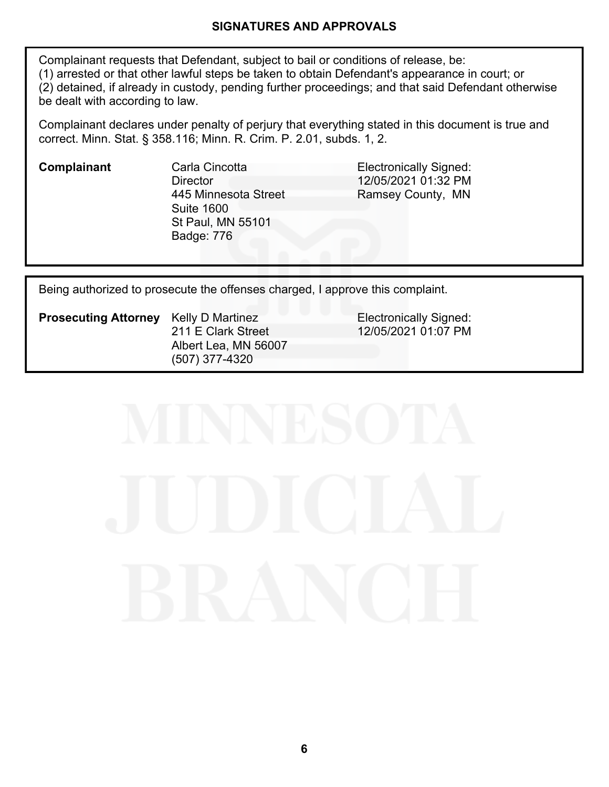#### **SIGNATURES AND APPROVALS**

Complainant requests that Defendant, subject to bail or conditions of release, be: (1) arrested or that other lawful steps be taken to obtain Defendant's appearance in court; or (2) detained, if already in custody, pending further proceedings; and that said Defendant otherwise be dealt with according to law.

Complainant declares under penalty of perjury that everything stated in this document is true and correct. Minn. Stat. § 358.116; Minn. R. Crim. P. 2.01, subds. 1, 2.

**Director** 445 Minnesota Street Suite 1600 St Paul, MN 55101 Badge: 776

**Complainant** Carla Cincotta **Carla Complainant** Carla Cincotta **Electronically Signed:** 12/05/2021 01:32 PM Ramsey County, MN

Being authorized to prosecute the offenses charged, I approve this complaint.

**Prosecuting Attorney** Kelly D Martinez **Electronically Signed:** 211 E Clark Street Albert Lea, MN 56007 (507) 377-4320

12/05/2021 01:07 PM

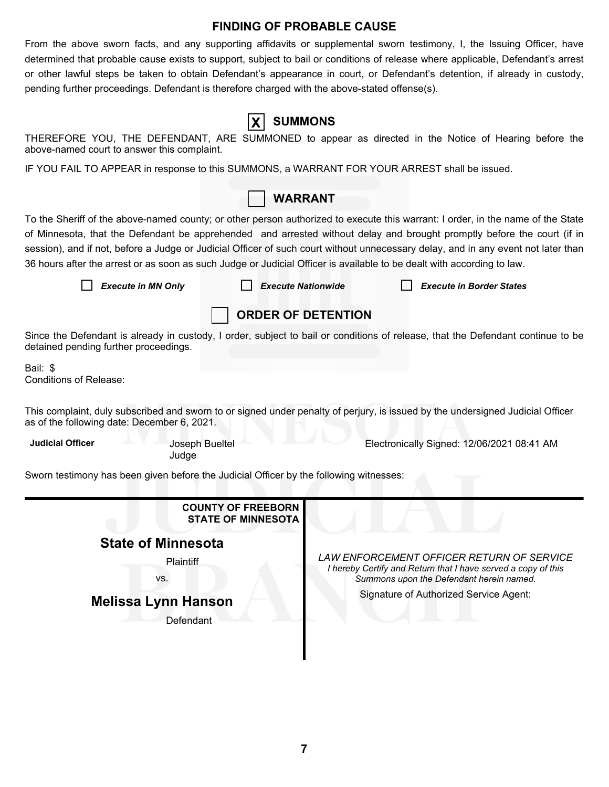#### **FINDING OF PROBABLE CAUSE**

From the above sworn facts, and any supporting affidavits or supplemental sworn testimony, I, the Issuing Officer, have determined that probable cause exists to support, subject to bail or conditions of release where applicable, Defendant's arrest or other lawful steps be taken to obtain Defendant's appearance in court, or Defendant's detention, if already in custody, pending further proceedings. Defendant is therefore charged with the above-stated offense(s).

**X SUMMONS**

| THEREFORE YOU, THE DEFENDANT, ARE SUMMONED to appear as directed in the Notice of Hearing before the<br>above-named court to answer this complaint.                                                                                                                                                                                                                                                                                                                                                                       |                           |                                                                                                                                                        |                                            |  |  |  |
|---------------------------------------------------------------------------------------------------------------------------------------------------------------------------------------------------------------------------------------------------------------------------------------------------------------------------------------------------------------------------------------------------------------------------------------------------------------------------------------------------------------------------|---------------------------|--------------------------------------------------------------------------------------------------------------------------------------------------------|--------------------------------------------|--|--|--|
| IF YOU FAIL TO APPEAR in response to this SUMMONS, a WARRANT FOR YOUR ARREST shall be issued.                                                                                                                                                                                                                                                                                                                                                                                                                             |                           |                                                                                                                                                        |                                            |  |  |  |
|                                                                                                                                                                                                                                                                                                                                                                                                                                                                                                                           | <b>WARRANT</b>            |                                                                                                                                                        |                                            |  |  |  |
| To the Sheriff of the above-named county; or other person authorized to execute this warrant: I order, in the name of the State<br>of Minnesota, that the Defendant be apprehended and arrested without delay and brought promptly before the court (if in<br>session), and if not, before a Judge or Judicial Officer of such court without unnecessary delay, and in any event not later than<br>36 hours after the arrest or as soon as such Judge or Judicial Officer is available to be dealt with according to law. |                           |                                                                                                                                                        |                                            |  |  |  |
| <b>Execute in MN Only</b>                                                                                                                                                                                                                                                                                                                                                                                                                                                                                                 | <b>Execute Nationwide</b> |                                                                                                                                                        | <b>Execute in Border States</b>            |  |  |  |
|                                                                                                                                                                                                                                                                                                                                                                                                                                                                                                                           | <b>ORDER OF DETENTION</b> |                                                                                                                                                        |                                            |  |  |  |
| Since the Defendant is already in custody, I order, subject to bail or conditions of release, that the Defendant continue to be<br>detained pending further proceedings.                                                                                                                                                                                                                                                                                                                                                  |                           |                                                                                                                                                        |                                            |  |  |  |
| Bail: \$<br><b>Conditions of Release:</b>                                                                                                                                                                                                                                                                                                                                                                                                                                                                                 |                           |                                                                                                                                                        |                                            |  |  |  |
| This complaint, duly subscribed and sworn to or signed under penalty of perjury, is issued by the undersigned Judicial Officer<br>as of the following date: December 6, 2021.                                                                                                                                                                                                                                                                                                                                             |                           |                                                                                                                                                        |                                            |  |  |  |
| <b>Judicial Officer</b><br>Joseph Bueltel<br>Judge                                                                                                                                                                                                                                                                                                                                                                                                                                                                        |                           |                                                                                                                                                        | Electronically Signed: 12/06/2021 08:41 AM |  |  |  |
| Sworn testimony has been given before the Judicial Officer by the following witnesses:                                                                                                                                                                                                                                                                                                                                                                                                                                    |                           |                                                                                                                                                        |                                            |  |  |  |
| <b>COUNTY OF FREEBORN</b><br><b>STATE OF MINNESOTA</b>                                                                                                                                                                                                                                                                                                                                                                                                                                                                    |                           |                                                                                                                                                        |                                            |  |  |  |
| <b>State of Minnesota</b>                                                                                                                                                                                                                                                                                                                                                                                                                                                                                                 |                           |                                                                                                                                                        |                                            |  |  |  |
| Plaintiff<br>VS.                                                                                                                                                                                                                                                                                                                                                                                                                                                                                                          |                           | LAW ENFORCEMENT OFFICER RETURN OF SERVICE<br>I hereby Certify and Return that I have served a copy of this<br>Summons upon the Defendant herein named. |                                            |  |  |  |
| <b>Melissa Lynn Hanson</b><br>Defendant                                                                                                                                                                                                                                                                                                                                                                                                                                                                                   |                           |                                                                                                                                                        | Signature of Authorized Service Agent:     |  |  |  |
|                                                                                                                                                                                                                                                                                                                                                                                                                                                                                                                           |                           |                                                                                                                                                        |                                            |  |  |  |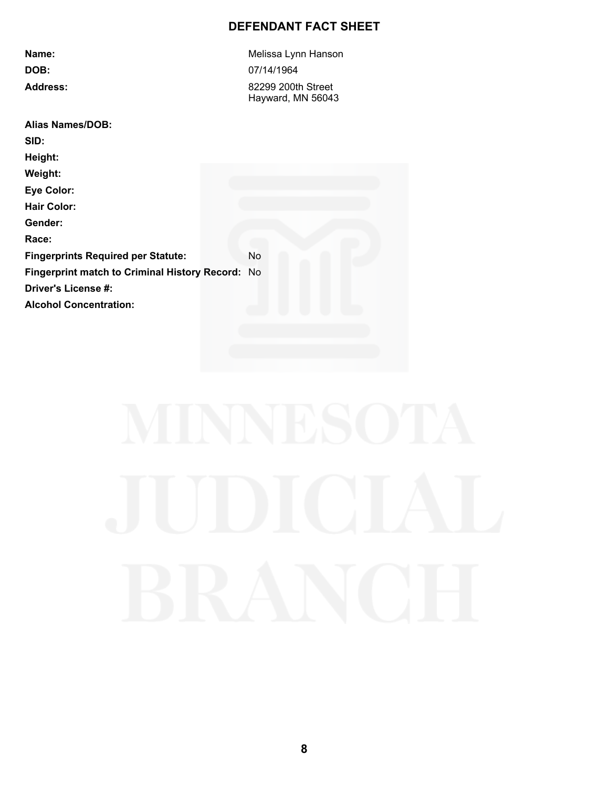# **DEFENDANT FACT SHEET**

| Melissa Lynn Hanson                              |  |  |
|--------------------------------------------------|--|--|
| 07/14/1964                                       |  |  |
| 82299 200th Street<br>Hayward, MN 56043          |  |  |
|                                                  |  |  |
|                                                  |  |  |
|                                                  |  |  |
|                                                  |  |  |
|                                                  |  |  |
|                                                  |  |  |
|                                                  |  |  |
|                                                  |  |  |
| <b>No</b>                                        |  |  |
| Fingerprint match to Criminal History Record: No |  |  |
|                                                  |  |  |
|                                                  |  |  |
|                                                  |  |  |